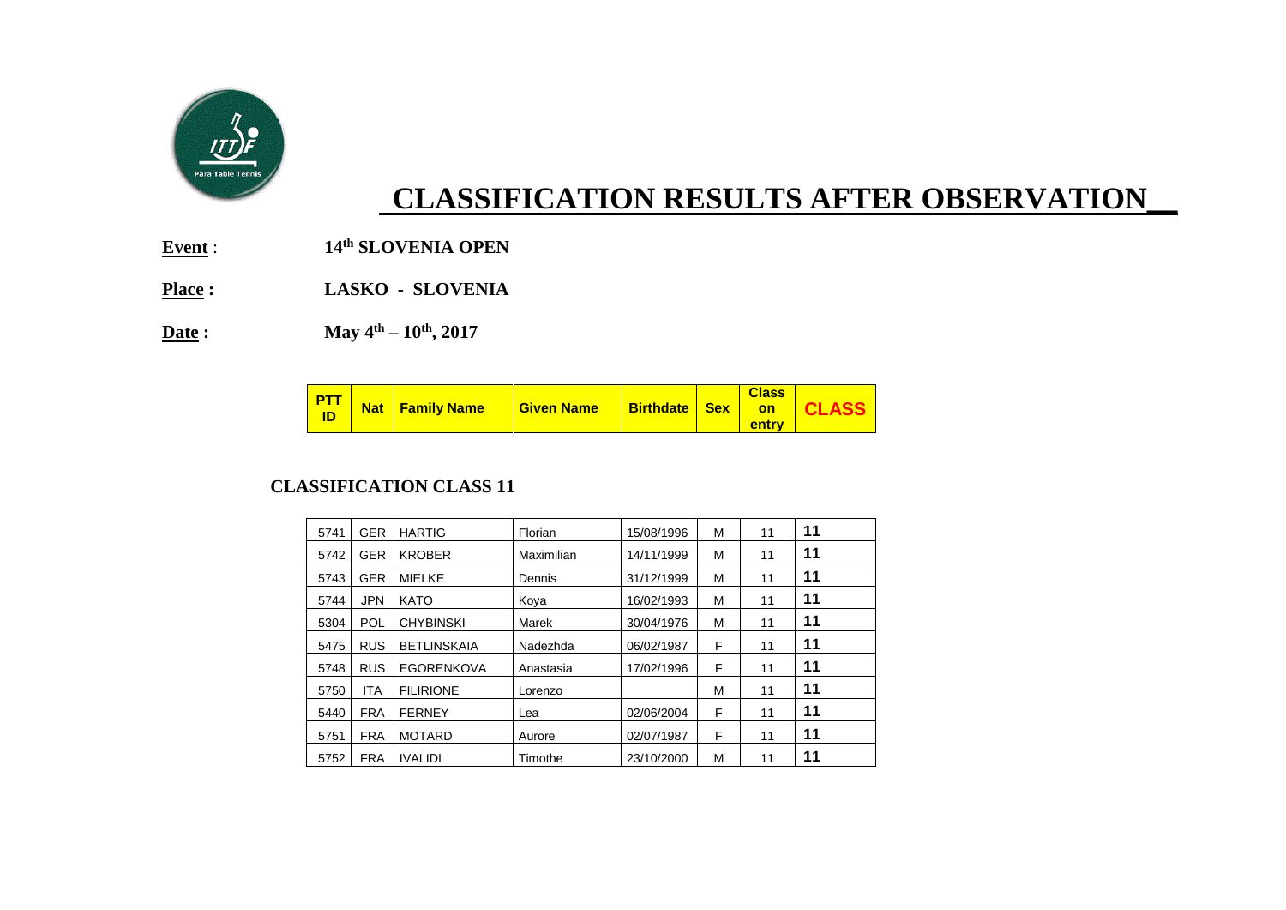

# **CLASSIFICATION RESULTS AFTER OBSERVATION\_\_**

**Event** : **14th SLOVENIA OPEN**

**Place : LASKO - SLOVENIA**

**Date : May 4th – 10th, 2017**

|  |  | <b>PTT</b> Nat Family Name | <b>Given Name</b> |  |  | <b>Class</b><br>entry | <b>Birthdate Sex on CLASS</b> |
|--|--|----------------------------|-------------------|--|--|-----------------------|-------------------------------|
|--|--|----------------------------|-------------------|--|--|-----------------------|-------------------------------|

#### **CLASSIFICATION CLASS 11**

| 5741 | <b>GER</b> | <b>HARTIG</b>      | Florian    | 15/08/1996 | М | 11 | 11 |
|------|------------|--------------------|------------|------------|---|----|----|
| 5742 | <b>GER</b> | <b>KROBER</b>      | Maximilian | 14/11/1999 | М | 11 | 11 |
| 5743 | <b>GER</b> | <b>MIELKE</b>      | Dennis     | 31/12/1999 | М | 11 | 11 |
| 5744 | <b>JPN</b> | <b>KATO</b>        | Koya       | 16/02/1993 | М | 11 | 11 |
| 5304 | POL        | <b>CHYBINSKI</b>   | Marek      | 30/04/1976 | М | 11 | 11 |
| 5475 | <b>RUS</b> | <b>BETLINSKAIA</b> | Nadezhda   | 06/02/1987 | F | 11 | 11 |
| 5748 | <b>RUS</b> | <b>EGORENKOVA</b>  | Anastasia  | 17/02/1996 | F | 11 | 11 |
| 5750 | <b>ITA</b> | <b>FILIRIONE</b>   | Lorenzo    |            | M | 11 | 11 |
| 5440 | <b>FRA</b> | <b>FERNEY</b>      | Lea        | 02/06/2004 | F | 11 | 11 |
| 5751 | <b>FRA</b> | <b>MOTARD</b>      | Aurore     | 02/07/1987 | F | 11 | 11 |
| 5752 | <b>FRA</b> | <b>IVALIDI</b>     | Timothe    | 23/10/2000 | М | 11 | 11 |